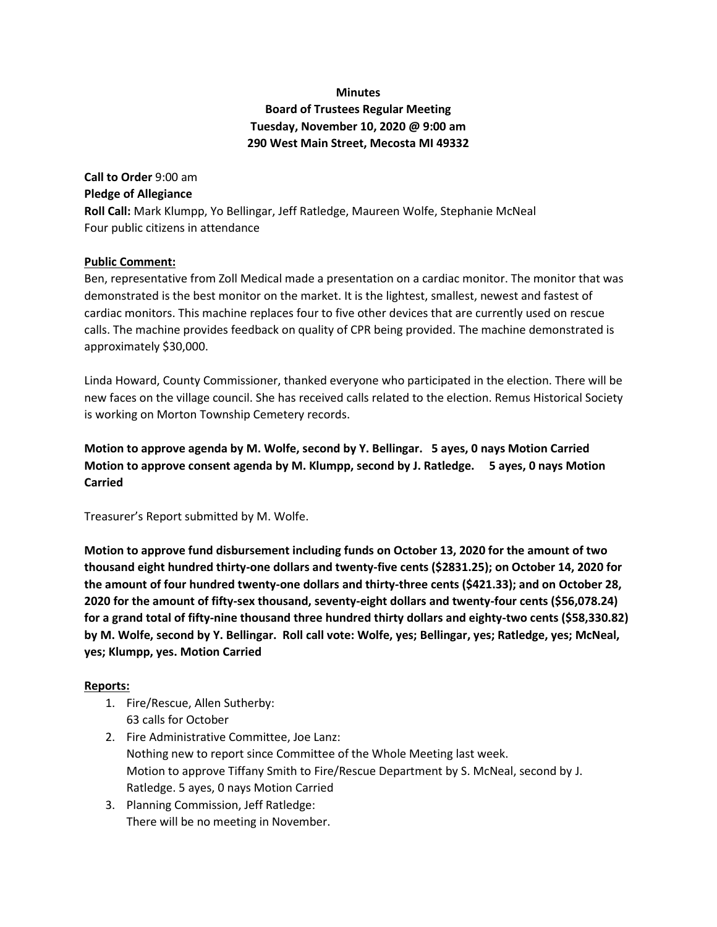# **Minutes Board of Trustees Regular Meeting Tuesday, November 10, 2020 @ 9:00 am 290 West Main Street, Mecosta MI 49332**

**Call to Order** 9:00 am **Pledge of Allegiance Roll Call:** Mark Klumpp, Yo Bellingar, Jeff Ratledge, Maureen Wolfe, Stephanie McNeal Four public citizens in attendance

#### **Public Comment:**

Ben, representative from Zoll Medical made a presentation on a cardiac monitor. The monitor that was demonstrated is the best monitor on the market. It is the lightest, smallest, newest and fastest of cardiac monitors. This machine replaces four to five other devices that are currently used on rescue calls. The machine provides feedback on quality of CPR being provided. The machine demonstrated is approximately \$30,000.

Linda Howard, County Commissioner, thanked everyone who participated in the election. There will be new faces on the village council. She has received calls related to the election. Remus Historical Society is working on Morton Township Cemetery records.

**Motion to approve agenda by M. Wolfe, second by Y. Bellingar. 5 ayes, 0 nays Motion Carried Motion to approve consent agenda by M. Klumpp, second by J. Ratledge. 5 ayes, 0 nays Motion Carried**

Treasurer's Report submitted by M. Wolfe.

**Motion to approve fund disbursement including funds on October 13, 2020 for the amount of two thousand eight hundred thirty-one dollars and twenty-five cents (\$2831.25); on October 14, 2020 for the amount of four hundred twenty-one dollars and thirty-three cents (\$421.33); and on October 28, 2020 for the amount of fifty-sex thousand, seventy-eight dollars and twenty-four cents (\$56,078.24) for a grand total of fifty-nine thousand three hundred thirty dollars and eighty-two cents (\$58,330.82) by M. Wolfe, second by Y. Bellingar. Roll call vote: Wolfe, yes; Bellingar, yes; Ratledge, yes; McNeal, yes; Klumpp, yes. Motion Carried**

#### **Reports:**

- 1. Fire/Rescue, Allen Sutherby: 63 calls for October
- 2. Fire Administrative Committee, Joe Lanz: Nothing new to report since Committee of the Whole Meeting last week. Motion to approve Tiffany Smith to Fire/Rescue Department by S. McNeal, second by J. Ratledge. 5 ayes, 0 nays Motion Carried
- 3. Planning Commission, Jeff Ratledge: There will be no meeting in November.